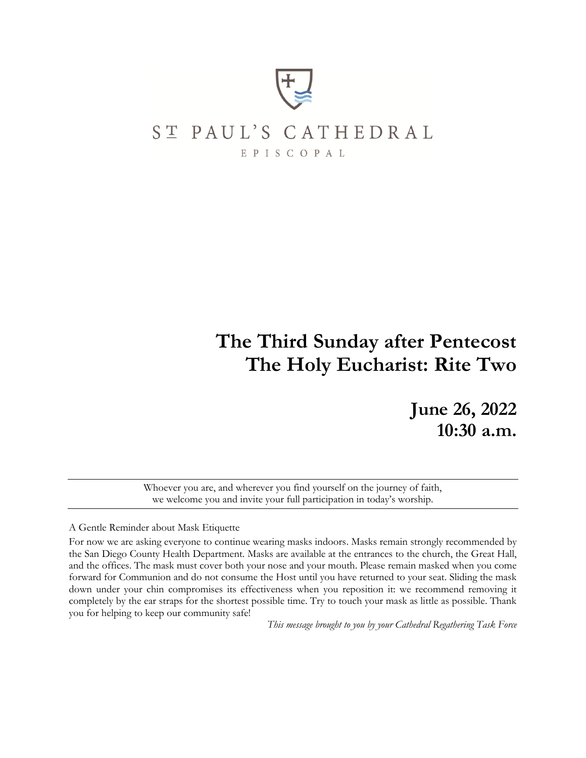

# ST PAUL'S CATHEDRAL

EPISCOPAL

# **The Third Sunday after Pentecost The Holy Eucharist: Rite Two**

**June 26, 2022 10:30 a.m.**

Whoever you are, and wherever you find yourself on the journey of faith, we welcome you and invite your full participation in today's worship.

#### A Gentle Reminder about Mask Etiquette

For now we are asking everyone to continue wearing masks indoors. Masks remain strongly recommended by the San Diego County Health Department. Masks are available at the entrances to the church, the Great Hall, and the offices. The mask must cover both your nose and your mouth. Please remain masked when you come forward for Communion and do not consume the Host until you have returned to your seat. Sliding the mask down under your chin compromises its effectiveness when you reposition it: we recommend removing it completely by the ear straps for the shortest possible time. Try to touch your mask as little as possible. Thank you for helping to keep our community safe!

*This message brought to you by your Cathedral Regathering Task Force*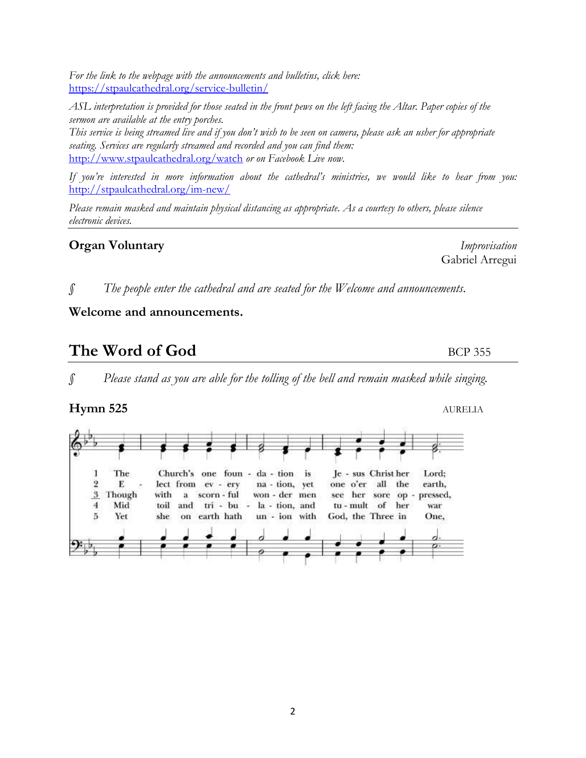*For the link to the webpage with the announcements and bulletins, click here:*  <https://stpaulcathedral.org/service-bulletin/>

*ASL interpretation is provided for those seated in the front pews on the left facing the Altar. Paper copies of the sermon are available at the entry porches.*

*This service is being streamed live and if you don't wish to be seen on camera, please ask an usher for appropriate seating. Services are regularly streamed and recorded and you can find them:* <http://www.stpaulcathedral.org/watch> *or on Facebook Live now.*

*If you're interested in more information about the cathedral's ministries, we would like to hear from you:* <http://stpaulcathedral.org/im-new/>

*Please remain masked and maintain physical distancing as appropriate. As a courtesy to others, please silence electronic devices.*

### **Organ Voluntary** *Improvisation*

*§ The people enter the cathedral and are seated for the Welcome and announcements.*

#### **Welcome and announcements.**

## **The Word of God** BCP 355

*§ Please stand as you are able for the tolling of the bell and remain masked while singing.*

#### **Hymn 525** AURELIA

The Church's one foun - da - tion is Je - sus Christ her Lord; 1  $\,2$ E lect from ev - ery na - tion, yet one o'er all the earth,  $\overline{\mathbf{3}}$ Though with scorn - ful won - der men her pressed, ä see sore op  $\overline{4}$ Mid toil and tri - bu - la - tion, and tu - mult of her war 5 Yet earth hath un - ion with God, the Three in One, she on

Gabriel Arregui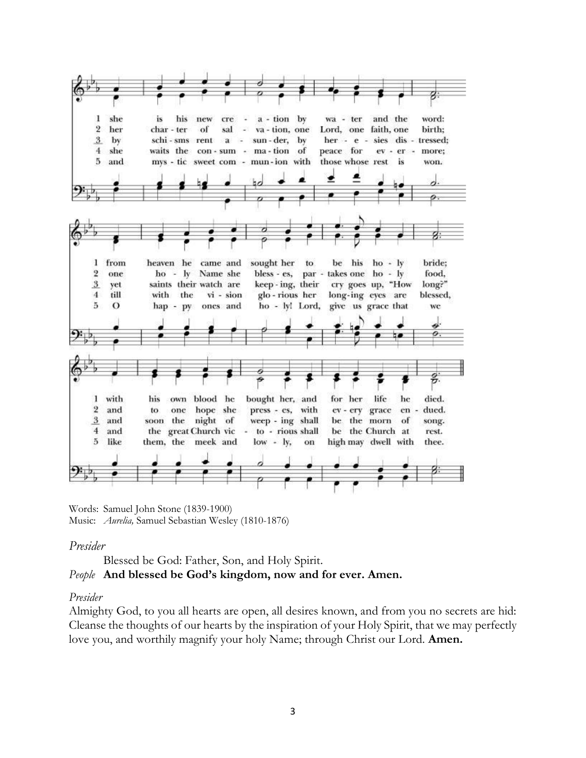

Words: Samuel John Stone (1839-1900) Music: *Aurelia,* Samuel Sebastian Wesley (1810-1876)

#### *Presider*

Blessed be God: Father, Son, and Holy Spirit.

#### *People* **And blessed be God's kingdom, now and for ever. Amen.**

#### *Presider*

Almighty God, to you all hearts are open, all desires known, and from you no secrets are hid: Cleanse the thoughts of our hearts by the inspiration of your Holy Spirit, that we may perfectly love you, and worthily magnify your holy Name; through Christ our Lord. **Amen.**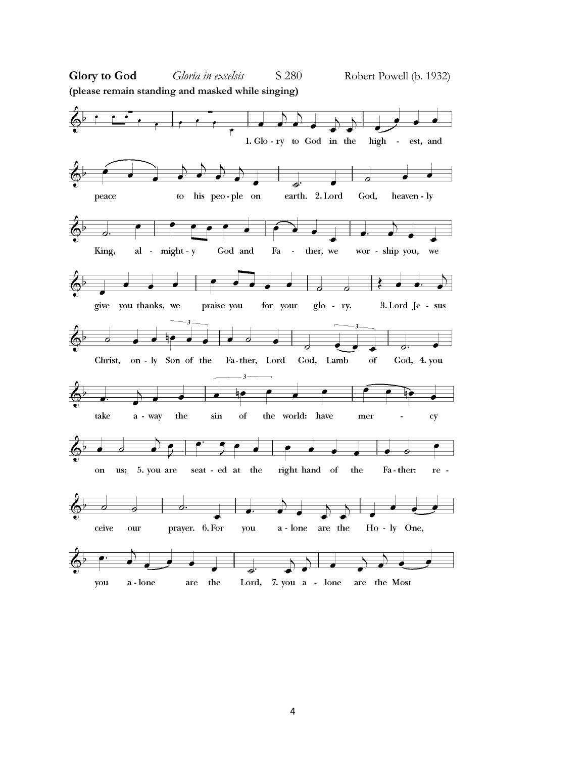![](_page_3_Figure_0.jpeg)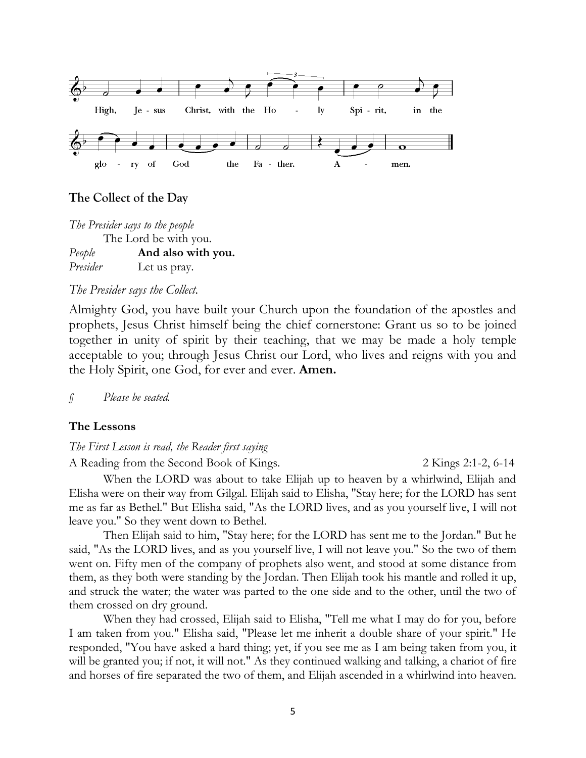![](_page_4_Figure_0.jpeg)

#### **The Collect of the Day**

*The Presider says to the people* The Lord be with you. *People* **And also with you.** *Presider* Let us pray.

#### *The Presider says the Collect.*

Almighty God, you have built your Church upon the foundation of the apostles and prophets, Jesus Christ himself being the chief cornerstone: Grant us so to be joined together in unity of spirit by their teaching, that we may be made a holy temple acceptable to you; through Jesus Christ our Lord, who lives and reigns with you and the Holy Spirit, one God, for ever and ever. **Amen.**

*§ Please be seated.*

#### **The Lessons**

*The First Lesson is read, the Reader first saying*

A Reading from the Second Book of Kings. 22 Kings 2:1-2, 6-14

When the LORD was about to take Elijah up to heaven by a whirlwind, Elijah and Elisha were on their way from Gilgal. Elijah said to Elisha, "Stay here; for the LORD has sent me as far as Bethel." But Elisha said, "As the LORD lives, and as you yourself live, I will not leave you." So they went down to Bethel.

Then Elijah said to him, "Stay here; for the LORD has sent me to the Jordan." But he said, "As the LORD lives, and as you yourself live, I will not leave you." So the two of them went on. Fifty men of the company of prophets also went, and stood at some distance from them, as they both were standing by the Jordan. Then Elijah took his mantle and rolled it up, and struck the water; the water was parted to the one side and to the other, until the two of them crossed on dry ground.

When they had crossed, Elijah said to Elisha, "Tell me what I may do for you, before I am taken from you." Elisha said, "Please let me inherit a double share of your spirit." He responded, "You have asked a hard thing; yet, if you see me as I am being taken from you, it will be granted you; if not, it will not." As they continued walking and talking, a chariot of fire and horses of fire separated the two of them, and Elijah ascended in a whirlwind into heaven.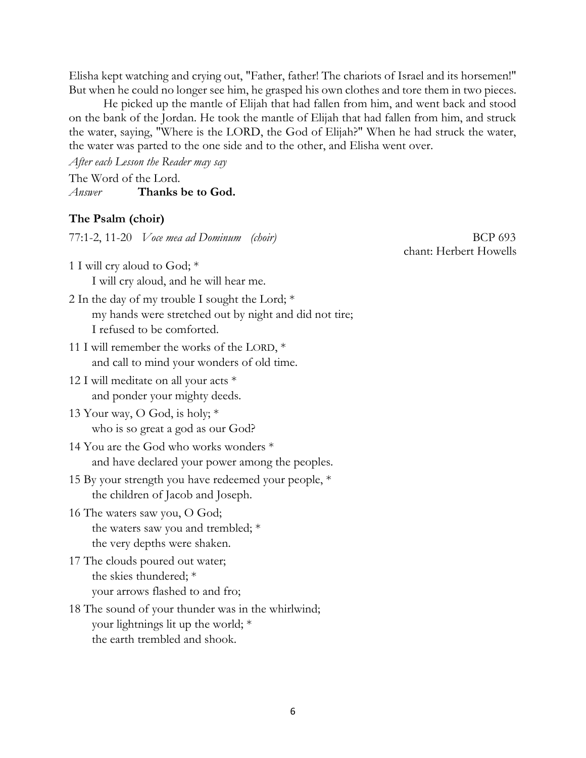Elisha kept watching and crying out, "Father, father! The chariots of Israel and its horsemen!" But when he could no longer see him, he grasped his own clothes and tore them in two pieces.

He picked up the mantle of Elijah that had fallen from him, and went back and stood on the bank of the Jordan. He took the mantle of Elijah that had fallen from him, and struck the water, saying, "Where is the LORD, the God of Elijah?" When he had struck the water, the water was parted to the one side and to the other, and Elisha went over.

*After each Lesson the Reader may say* The Word of the Lord. *Answer* **Thanks be to God.**

#### **The Psalm (choir)**

77:1-2, 11-20 *Voce mea ad Dominum (choir)* **BCP** 693

1 I will cry aloud to God; \*

I will cry aloud, and he will hear me.

- 2 In the day of my trouble I sought the Lord; \* my hands were stretched out by night and did not tire; I refused to be comforted.
- 11 I will remember the works of the LORD, \* and call to mind your wonders of old time.
- 12 I will meditate on all your acts \* and ponder your mighty deeds.
- 13 Your way, O God, is holy; \* who is so great a god as our God?
- 14 You are the God who works wonders \* and have declared your power among the peoples.
- 15 By your strength you have redeemed your people, \* the children of Jacob and Joseph.
- 16 The waters saw you, O God; the waters saw you and trembled; \* the very depths were shaken.
- 17 The clouds poured out water; the skies thundered; \* your arrows flashed to and fro;
- 18 The sound of your thunder was in the whirlwind; your lightnings lit up the world; \* the earth trembled and shook.

chant: Herbert Howells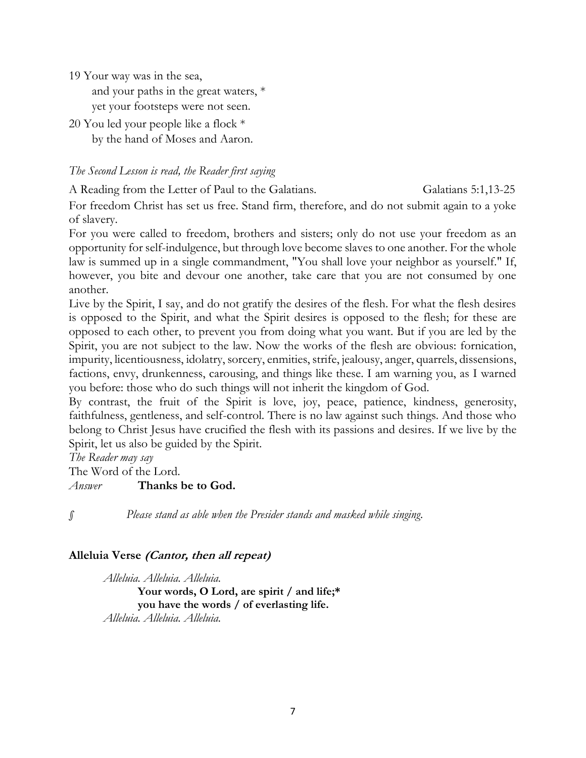19 Your way was in the sea,

and your paths in the great waters, \* yet your footsteps were not seen.

20 You led your people like a flock \* by the hand of Moses and Aaron.

#### *The Second Lesson is read, the Reader first saying*

A Reading from the Letter of Paul to the Galatians. Galatians 5:1,13-25

For freedom Christ has set us free. Stand firm, therefore, and do not submit again to a yoke of slavery.

For you were called to freedom, brothers and sisters; only do not use your freedom as an opportunity for self-indulgence, but through love become slaves to one another. For the whole law is summed up in a single commandment, "You shall love your neighbor as yourself." If, however, you bite and devour one another, take care that you are not consumed by one another.

Live by the Spirit, I say, and do not gratify the desires of the flesh. For what the flesh desires is opposed to the Spirit, and what the Spirit desires is opposed to the flesh; for these are opposed to each other, to prevent you from doing what you want. But if you are led by the Spirit, you are not subject to the law. Now the works of the flesh are obvious: fornication, impurity, licentiousness, idolatry, sorcery, enmities, strife, jealousy, anger, quarrels, dissensions, factions, envy, drunkenness, carousing, and things like these. I am warning you, as I warned you before: those who do such things will not inherit the kingdom of God.

By contrast, the fruit of the Spirit is love, joy, peace, patience, kindness, generosity, faithfulness, gentleness, and self-control. There is no law against such things. And those who belong to Christ Jesus have crucified the flesh with its passions and desires. If we live by the Spirit, let us also be guided by the Spirit.

*The Reader may say*

The Word of the Lord.

*Answer* **Thanks be to God.**

*§ Please stand as able when the Presider stands and masked while singing.*

#### **Alleluia Verse (Cantor, then all repeat)**

*Alleluia. Alleluia. Alleluia.* **Your words, O Lord, are spirit / and life;\* you have the words / of everlasting life.** *Alleluia. Alleluia. Alleluia.*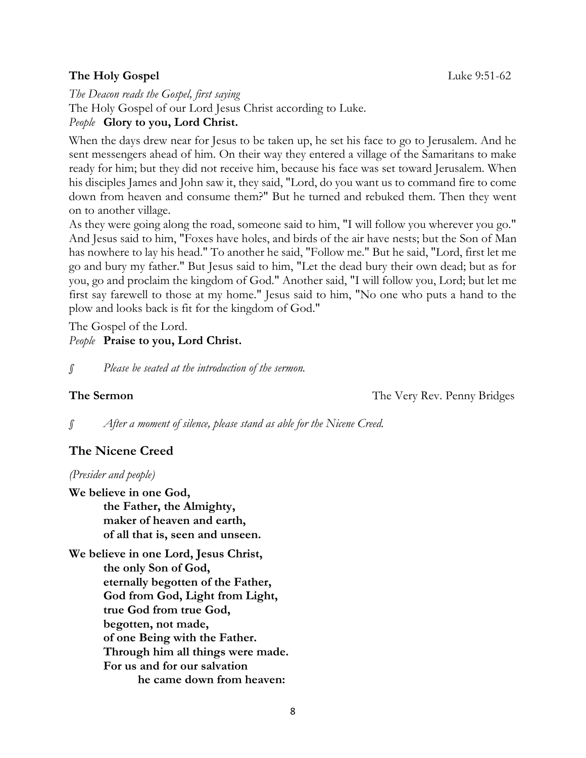#### **The Holy Gospel** Luke 9:51-62

*The Deacon reads the Gospel, first saying* The Holy Gospel of our Lord Jesus Christ according to Luke. *People* **Glory to you, Lord Christ.**

When the days drew near for Jesus to be taken up, he set his face to go to Jerusalem. And he sent messengers ahead of him. On their way they entered a village of the Samaritans to make ready for him; but they did not receive him, because his face was set toward Jerusalem. When his disciples James and John saw it, they said, "Lord, do you want us to command fire to come down from heaven and consume them?" But he turned and rebuked them. Then they went on to another village.

As they were going along the road, someone said to him, "I will follow you wherever you go." And Jesus said to him, "Foxes have holes, and birds of the air have nests; but the Son of Man has nowhere to lay his head." To another he said, "Follow me." But he said, "Lord, first let me go and bury my father." But Jesus said to him, "Let the dead bury their own dead; but as for you, go and proclaim the kingdom of God." Another said, "I will follow you, Lord; but let me first say farewell to those at my home." Jesus said to him, "No one who puts a hand to the plow and looks back is fit for the kingdom of God."

The Gospel of the Lord.

#### *People* **Praise to you, Lord Christ.**

*§ Please be seated at the introduction of the sermon.*

**The Sermon** The Very Rev. Penny Bridges

*§ After a moment of silence, please stand as able for the Nicene Creed.*

### **The Nicene Creed**

*(Presider and people)*

**We believe in one God, the Father, the Almighty, maker of heaven and earth, of all that is, seen and unseen.**

**We believe in one Lord, Jesus Christ, the only Son of God, eternally begotten of the Father, God from God, Light from Light, true God from true God, begotten, not made, of one Being with the Father. Through him all things were made. For us and for our salvation he came down from heaven:**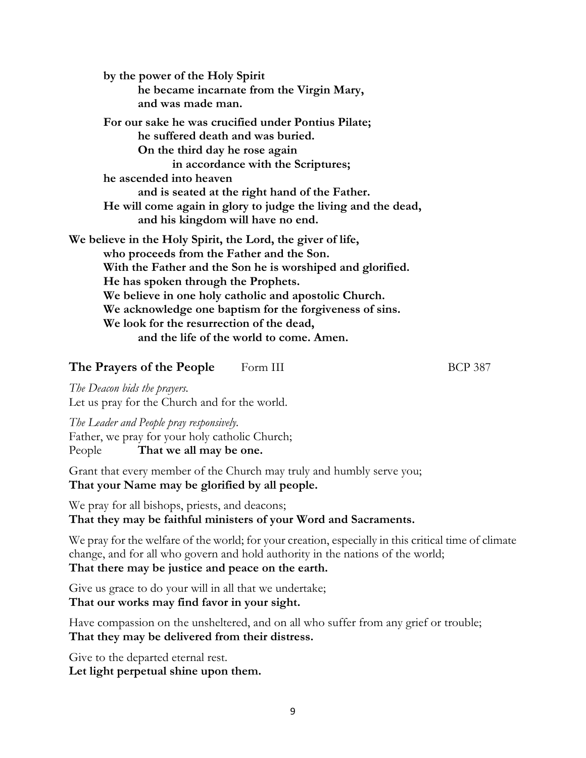**by the power of the Holy Spirit he became incarnate from the Virgin Mary, and was made man. For our sake he was crucified under Pontius Pilate; he suffered death and was buried. On the third day he rose again in accordance with the Scriptures; he ascended into heaven and is seated at the right hand of the Father. He will come again in glory to judge the living and the dead, and his kingdom will have no end. We believe in the Holy Spirit, the Lord, the giver of life, who proceeds from the Father and the Son. With the Father and the Son he is worshiped and glorified. He has spoken through the Prophets. We believe in one holy catholic and apostolic Church. We acknowledge one baptism for the forgiveness of sins. We look for the resurrection of the dead, and the life of the world to come. Amen.**

#### **The Prayers of the People** Form III BCP 387

*The Deacon bids the prayers.* Let us pray for the Church and for the world.

*The Leader and People pray responsively.* Father, we pray for your holy catholic Church; People **That we all may be one.**

Grant that every member of the Church may truly and humbly serve you; **That your Name may be glorified by all people.**

We pray for all bishops, priests, and deacons; **That they may be faithful ministers of your Word and Sacraments.**

We pray for the welfare of the world; for your creation, especially in this critical time of climate change, and for all who govern and hold authority in the nations of the world; **That there may be justice and peace on the earth.**

Give us grace to do your will in all that we undertake; **That our works may find favor in your sight.**

Have compassion on the unsheltered, and on all who suffer from any grief or trouble; **That they may be delivered from their distress.**

Give to the departed eternal rest. **Let light perpetual shine upon them.**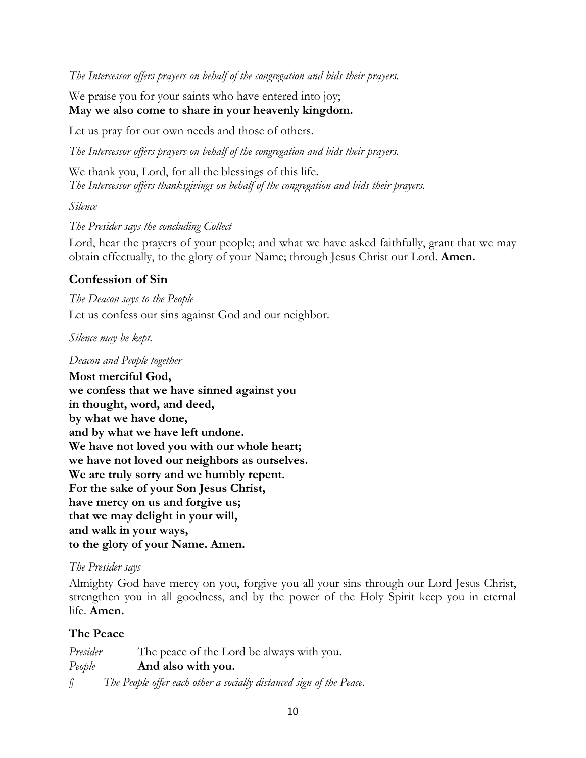*The Intercessor offers prayers on behalf of the congregation and bids their prayers.*

We praise you for your saints who have entered into joy; **May we also come to share in your heavenly kingdom.**

Let us pray for our own needs and those of others.

*The Intercessor offers prayers on behalf of the congregation and bids their prayers.*

We thank you, Lord, for all the blessings of this life. *The Intercessor offers thanksgivings on behalf of the congregation and bids their prayers.*

#### *Silence*

#### *The Presider says the concluding Collect*

Lord, hear the prayers of your people; and what we have asked faithfully, grant that we may obtain effectually, to the glory of your Name; through Jesus Christ our Lord. **Amen.**

#### **Confession of Sin**

*The Deacon says to the People* Let us confess our sins against God and our neighbor.

#### *Silence may be kept.*

#### *Deacon and People together*

**Most merciful God, we confess that we have sinned against you in thought, word, and deed, by what we have done, and by what we have left undone. We have not loved you with our whole heart; we have not loved our neighbors as ourselves. We are truly sorry and we humbly repent. For the sake of your Son Jesus Christ, have mercy on us and forgive us; that we may delight in your will, and walk in your ways, to the glory of your Name. Amen.**

#### *The Presider says*

Almighty God have mercy on you, forgive you all your sins through our Lord Jesus Christ, strengthen you in all goodness, and by the power of the Holy Spirit keep you in eternal life. **Amen.**

#### **The Peace**

*Presider* The peace of the Lord be always with you. *People* **And also with you.** *§ The People offer each other a socially distanced sign of the Peace.*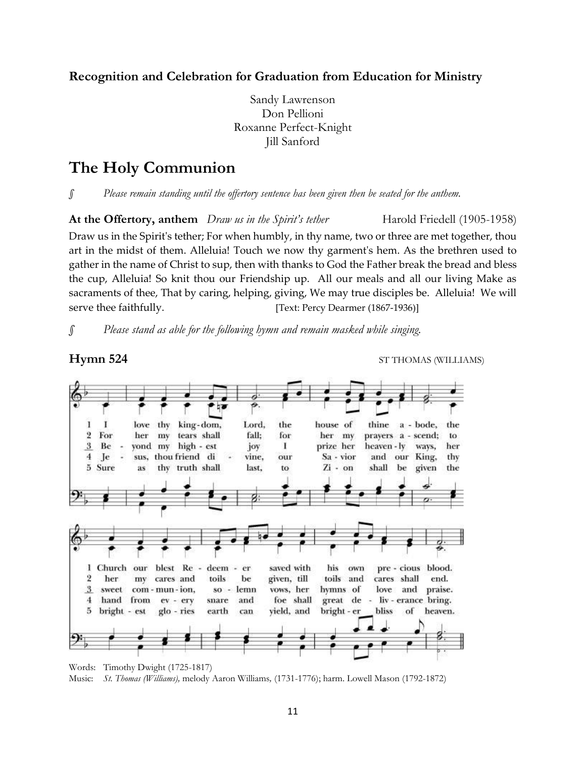**Recognition and Celebration for Graduation from Education for Ministry**

Sandy Lawrenson Don Pellioni Roxanne Perfect-Knight Jill Sanford

### **The Holy Communion**

*§ Please remain standing until the offertory sentence has been given then be seated for the anthem.*

**At the Offertory, anthem** *Draw us in the Spirit's tether* Harold Friedell (1905-1958) Draw us in the Spirit's tether; For when humbly, in thy name, two or three are met together, thou art in the midst of them. Alleluia! Touch we now thy garment's hem. As the brethren used to gather in the name of Christ to sup, then with thanks to God the Father break the bread and bless the cup, Alleluia! So knit thou our Friendship up. All our meals and all our living Make as sacraments of thee, That by caring, helping, giving, We may true disciples be. Alleluia! We will serve thee faithfully. [Text: Percy Dearmer (1867-1936)]

*§ Please stand as able for the following hymn and remain masked while singing.*

**Hymn 524** ST THOMAS (WILLIAMS)

![](_page_10_Figure_8.jpeg)

Words: Timothy Dwight (1725-1817) Music: *St. Thomas (Williams),* melody Aaron Williams*,* (1731-1776); harm. Lowell Mason (1792-1872)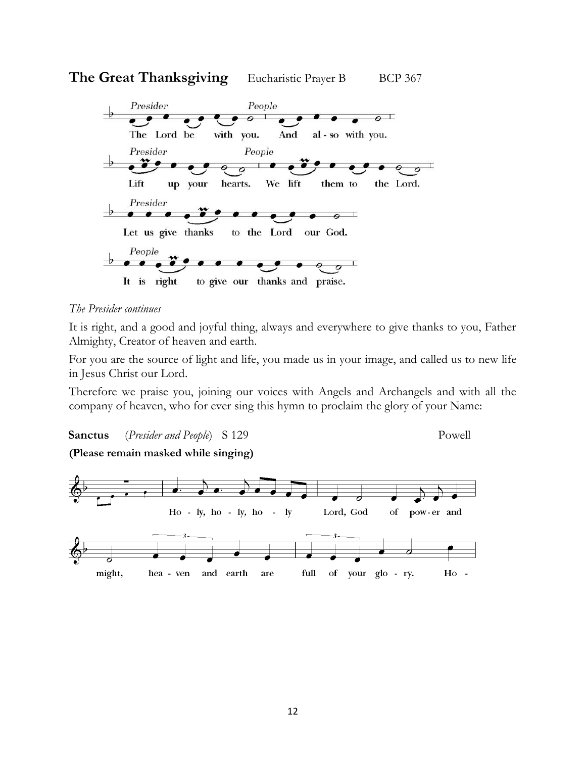![](_page_11_Figure_0.jpeg)

![](_page_11_Figure_1.jpeg)

#### *The Presider continues*

It is right, and a good and joyful thing, always and everywhere to give thanks to you, Father Almighty, Creator of heaven and earth.

For you are the source of light and life, you made us in your image, and called us to new life in Jesus Christ our Lord.

Therefore we praise you, joining our voices with Angels and Archangels and with all the company of heaven, who for ever sing this hymn to proclaim the glory of your Name:

**Sanctus** (*Presider and People*) S 129 Powell

**(Please remain masked while singing)**

![](_page_11_Figure_9.jpeg)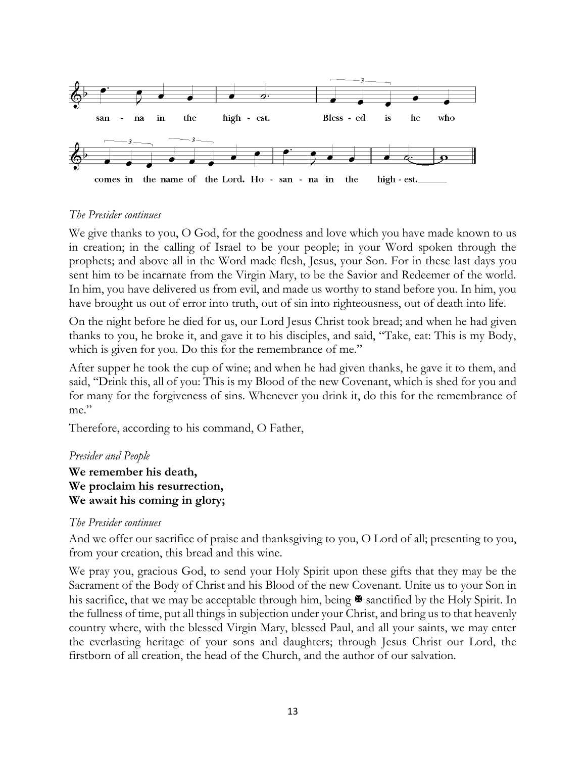![](_page_12_Figure_0.jpeg)

#### *The Presider continues*

We give thanks to you, O God, for the goodness and love which you have made known to us in creation; in the calling of Israel to be your people; in your Word spoken through the prophets; and above all in the Word made flesh, Jesus, your Son. For in these last days you sent him to be incarnate from the Virgin Mary, to be the Savior and Redeemer of the world. In him, you have delivered us from evil, and made us worthy to stand before you. In him, you have brought us out of error into truth, out of sin into righteousness, out of death into life.

On the night before he died for us, our Lord Jesus Christ took bread; and when he had given thanks to you, he broke it, and gave it to his disciples, and said, "Take, eat: This is my Body, which is given for you. Do this for the remembrance of me."

After supper he took the cup of wine; and when he had given thanks, he gave it to them, and said, "Drink this, all of you: This is my Blood of the new Covenant, which is shed for you and for many for the forgiveness of sins. Whenever you drink it, do this for the remembrance of me."

Therefore, according to his command, O Father,

#### *Presider and People*

#### **We remember his death, We proclaim his resurrection, We await his coming in glory;**

#### *The Presider continues*

And we offer our sacrifice of praise and thanksgiving to you, O Lord of all; presenting to you, from your creation, this bread and this wine.

We pray you, gracious God, to send your Holy Spirit upon these gifts that they may be the Sacrament of the Body of Christ and his Blood of the new Covenant. Unite us to your Son in his sacrifice, that we may be acceptable through him, being  $\blacktriangleright$  sanctified by the Holy Spirit. In the fullness of time, put all things in subjection under your Christ, and bring us to that heavenly country where, with the blessed Virgin Mary, blessed Paul, and all your saints, we may enter the everlasting heritage of your sons and daughters; through Jesus Christ our Lord, the firstborn of all creation, the head of the Church, and the author of our salvation.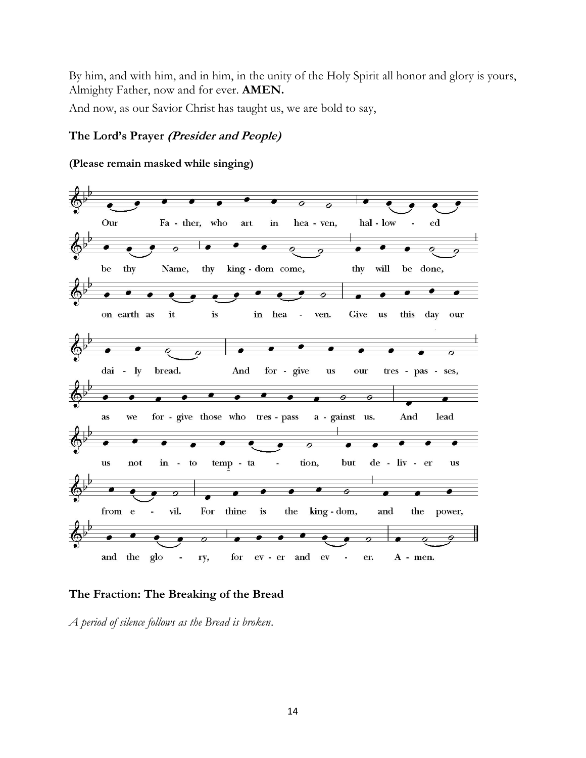By him, and with him, and in him, in the unity of the Holy Spirit all honor and glory is yours, Almighty Father, now and for ever. **AMEN.**

And now, as our Savior Christ has taught us, we are bold to say,

#### **The Lord's Prayer (Presider and People)**

## **(Please remain masked while singing)**

![](_page_13_Figure_4.jpeg)

#### **The Fraction: The Breaking of the Bread**

*A period of silence follows as the Bread is broken*.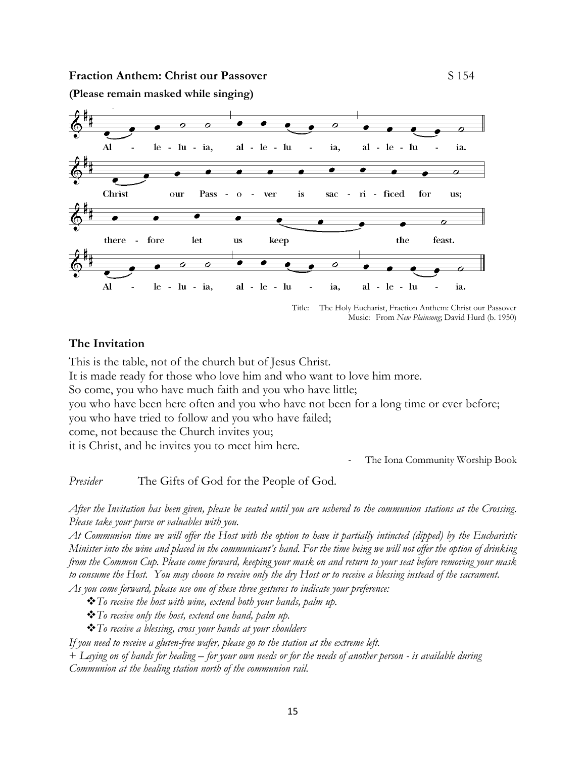#### **Fraction Anthem: Christ our Passover** S 154

**(Please remain masked while singing)**

![](_page_14_Figure_3.jpeg)

Title: The Holy Eucharist, Fraction Anthem: Christ our Passover Music: From *New Plainsong*; David Hurd (b. 1950)

#### **The Invitation**

This is the table, not of the church but of Jesus Christ.

It is made ready for those who love him and who want to love him more.

So come, you who have much faith and you who have little;

you who have been here often and you who have not been for a long time or ever before; you who have tried to follow and you who have failed;

come, not because the Church invites you;

it is Christ, and he invites you to meet him here.

The Iona Community Worship Book

*Presider* The Gifts of God for the People of God.

*After the Invitation has been given, please be seated until you are ushered to the communion stations at the Crossing. Please take your purse or valuables with you.*

*At Communion time we will offer the Host with the option to have it partially intincted (dipped) by the Eucharistic Minister into the wine and placed in the communicant's hand. For the time being we will not offer the option of drinking from the Common Cup. Please come forward, keeping your mask on and return to your seat before removing your mask to consume the Host. You may choose to receive only the dry Host or to receive a blessing instead of the sacrament.*

*As you come forward, please use one of these three gestures to indicate your preference:*

❖*To receive the host with wine, extend both your hands, palm up.*

❖*To receive only the host, extend one hand, palm up.*

❖*To receive a blessing, cross your hands at your shoulders*

*If you need to receive a gluten-free wafer, please go to the station at the extreme left.*

+ *Laying on of hands for healing – for your own needs or for the needs of another person - is available during Communion at the healing station north of the communion rail.*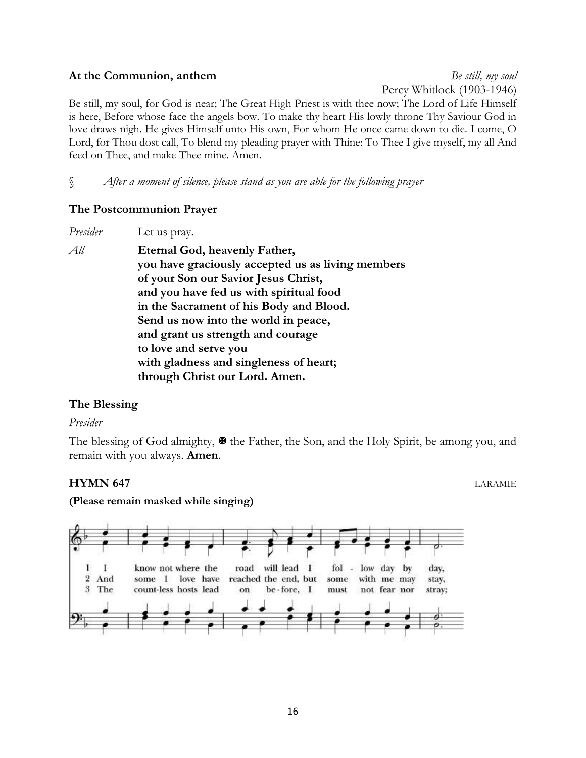#### **At the Communion, anthem** *Be still, my soul*

Percy Whitlock (1903-1946)

Be still, my soul, for God is near; The Great High Priest is with thee now; The Lord of Life Himself is here, Before whose face the angels bow. To make thy heart His lowly throne Thy Saviour God in love draws nigh. He gives Himself unto His own, For whom He once came down to die. I come, O Lord, for Thou dost call, To blend my pleading prayer with Thine: To Thee I give myself, my all And feed on Thee, and make Thee mine. Amen.

§ *After a moment of silence, please stand as you are able for the following prayer*

#### **The Postcommunion Prayer**

| Let us pray.                                      |
|---------------------------------------------------|
| Eternal God, heavenly Father,                     |
| you have graciously accepted us as living members |
| of your Son our Savior Jesus Christ,              |
| and you have fed us with spiritual food           |
| in the Sacrament of his Body and Blood.           |
| Send us now into the world in peace,              |
| and grant us strength and courage                 |
| to love and serve you                             |
| with gladness and singleness of heart;            |
| through Christ our Lord. Amen.                    |
|                                                   |

#### **The Blessing**

#### *Presider*

The blessing of God almighty,  $\mathbf{\mathcal{F}}$  the Father, the Son, and the Holy Spirit, be among you, and remain with you always. **Amen**.

#### **HYMN 647** LARAMIE

**(Please remain masked while singing)**

![](_page_15_Figure_12.jpeg)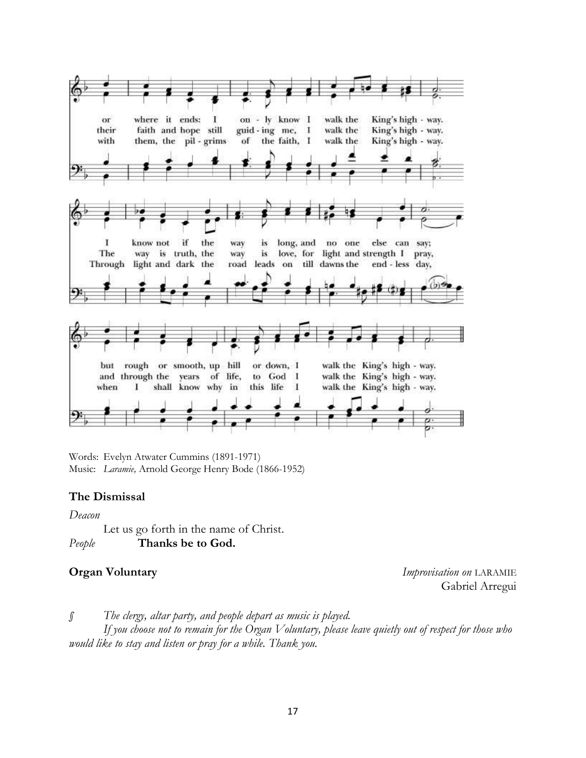![](_page_16_Figure_0.jpeg)

Words: Evelyn Atwater Cummins (1891-1971) Music: *Laramie,* Arnold George Henry Bode (1866-1952)

#### **The Dismissal**

*Deacon*

Let us go forth in the name of Christ. *People* **Thanks be to God.**

**Organ Voluntary** *Improvisation on* LARAMIE Gabriel Arregui

*§ The clergy, altar party, and people depart as music is played.*

*If you choose not to remain for the Organ Voluntary, please leave quietly out of respect for those who would like to stay and listen or pray for a while. Thank you.*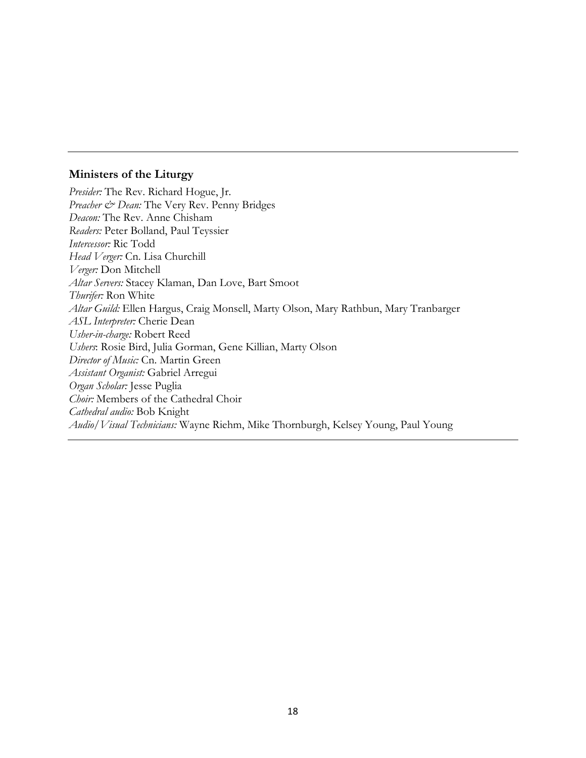#### **Ministers of the Liturgy**

*Presider:* The Rev. Richard Hogue, Jr. Preacher & Dean: The Very Rev. Penny Bridges *Deacon:* The Rev. Anne Chisham *Readers:* Peter Bolland, Paul Teyssier *Intercessor:* Ric Todd *Head Verger:* Cn. Lisa Churchill *Verger:* Don Mitchell *Altar Servers:* Stacey Klaman, Dan Love, Bart Smoot *Thurifer:* Ron White *Altar Guild:* Ellen Hargus, Craig Monsell, Marty Olson, Mary Rathbun, Mary Tranbarger *ASL Interpreter:* Cherie Dean *Usher-in-charge:* Robert Reed *Ushers*: Rosie Bird, Julia Gorman, Gene Killian, Marty Olson *Director of Music:* Cn. Martin Green *Assistant Organist:* Gabriel Arregui *Organ Scholar:* Jesse Puglia *Choir:* Members of the Cathedral Choir *Cathedral audio:* Bob Knight *Audio/Visual Technicians:* Wayne Riehm, Mike Thornburgh, Kelsey Young, Paul Young